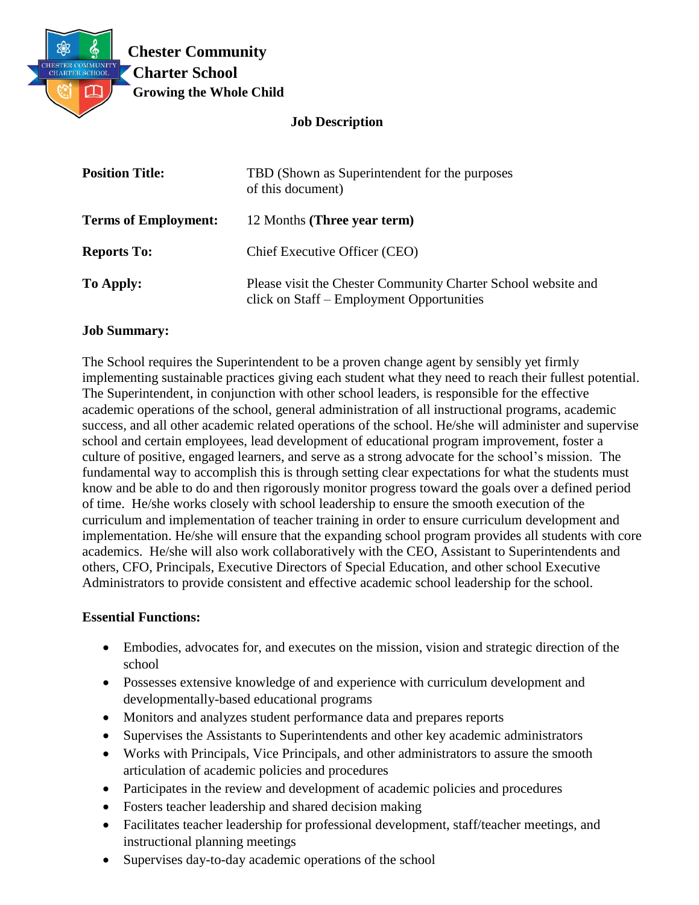

### **Job Description**

| <b>Position Title:</b>      | TBD (Shown as Superintendent for the purposes<br>of this document)                                         |
|-----------------------------|------------------------------------------------------------------------------------------------------------|
| <b>Terms of Employment:</b> | 12 Months (Three year term)                                                                                |
| <b>Reports To:</b>          | Chief Executive Officer (CEO)                                                                              |
| To Apply:                   | Please visit the Chester Community Charter School website and<br>click on Staff – Employment Opportunities |

#### **Job Summary:**

The School requires the Superintendent to be a proven change agent by sensibly yet firmly implementing sustainable practices giving each student what they need to reach their fullest potential. The Superintendent, in conjunction with other school leaders, is responsible for the effective academic operations of the school, general administration of all instructional programs, academic success, and all other academic related operations of the school. He/she will administer and supervise school and certain employees, lead development of educational program improvement, foster a culture of positive, engaged learners, and serve as a strong advocate for the school's mission. The fundamental way to accomplish this is through setting clear expectations for what the students must know and be able to do and then rigorously monitor progress toward the goals over a defined period of time. He/she works closely with school leadership to ensure the smooth execution of the curriculum and implementation of teacher training in order to ensure curriculum development and implementation. He/she will ensure that the expanding school program provides all students with core academics. He/she will also work collaboratively with the CEO, Assistant to Superintendents and others, CFO, Principals, Executive Directors of Special Education, and other school Executive Administrators to provide consistent and effective academic school leadership for the school.

### **Essential Functions:**

- Embodies, advocates for, and executes on the mission, vision and strategic direction of the school
- Possesses extensive knowledge of and experience with curriculum development and developmentally-based educational programs
- Monitors and analyzes student performance data and prepares reports
- Supervises the Assistants to Superintendents and other key academic administrators
- Works with Principals, Vice Principals, and other administrators to assure the smooth articulation of academic policies and procedures
- Participates in the review and development of academic policies and procedures
- Fosters teacher leadership and shared decision making
- Facilitates teacher leadership for professional development, staff/teacher meetings, and instructional planning meetings
- Supervises day-to-day academic operations of the school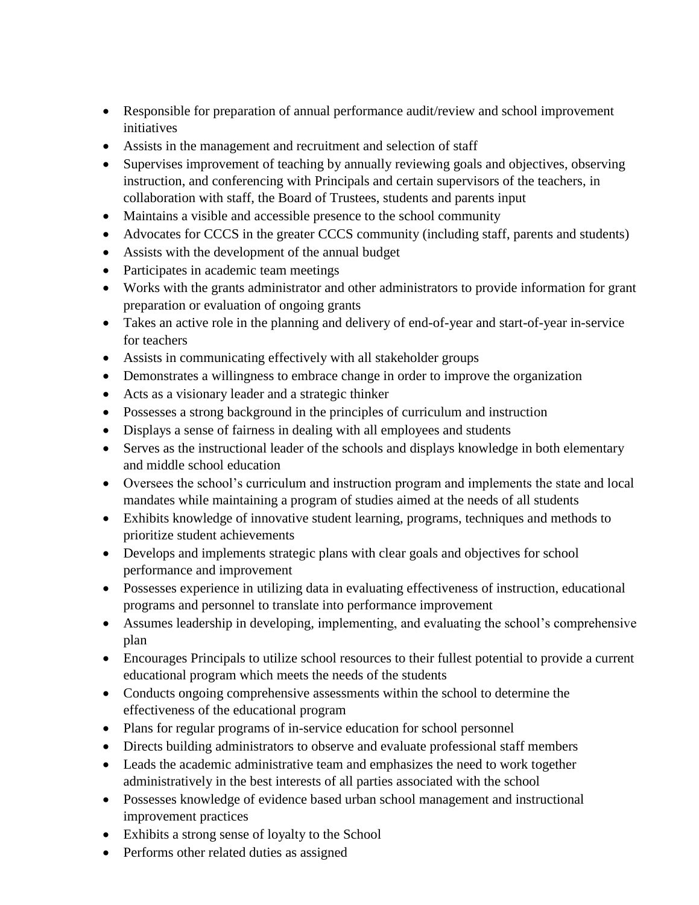- Responsible for preparation of annual performance audit/review and school improvement initiatives
- Assists in the management and recruitment and selection of staff
- Supervises improvement of teaching by annually reviewing goals and objectives, observing instruction, and conferencing with Principals and certain supervisors of the teachers, in collaboration with staff, the Board of Trustees, students and parents input
- Maintains a visible and accessible presence to the school community
- Advocates for CCCS in the greater CCCS community (including staff, parents and students)
- Assists with the development of the annual budget
- Participates in academic team meetings
- Works with the grants administrator and other administrators to provide information for grant preparation or evaluation of ongoing grants
- Takes an active role in the planning and delivery of end-of-year and start-of-year in-service for teachers
- Assists in communicating effectively with all stakeholder groups
- Demonstrates a willingness to embrace change in order to improve the organization
- Acts as a visionary leader and a strategic thinker
- Possesses a strong background in the principles of curriculum and instruction
- Displays a sense of fairness in dealing with all employees and students
- Serves as the instructional leader of the schools and displays knowledge in both elementary and middle school education
- Oversees the school's curriculum and instruction program and implements the state and local mandates while maintaining a program of studies aimed at the needs of all students
- Exhibits knowledge of innovative student learning, programs, techniques and methods to prioritize student achievements
- Develops and implements strategic plans with clear goals and objectives for school performance and improvement
- Possesses experience in utilizing data in evaluating effectiveness of instruction, educational programs and personnel to translate into performance improvement
- Assumes leadership in developing, implementing, and evaluating the school's comprehensive plan
- Encourages Principals to utilize school resources to their fullest potential to provide a current educational program which meets the needs of the students
- Conducts ongoing comprehensive assessments within the school to determine the effectiveness of the educational program
- Plans for regular programs of in-service education for school personnel
- Directs building administrators to observe and evaluate professional staff members
- Leads the academic administrative team and emphasizes the need to work together administratively in the best interests of all parties associated with the school
- Possesses knowledge of evidence based urban school management and instructional improvement practices
- Exhibits a strong sense of loyalty to the School
- Performs other related duties as assigned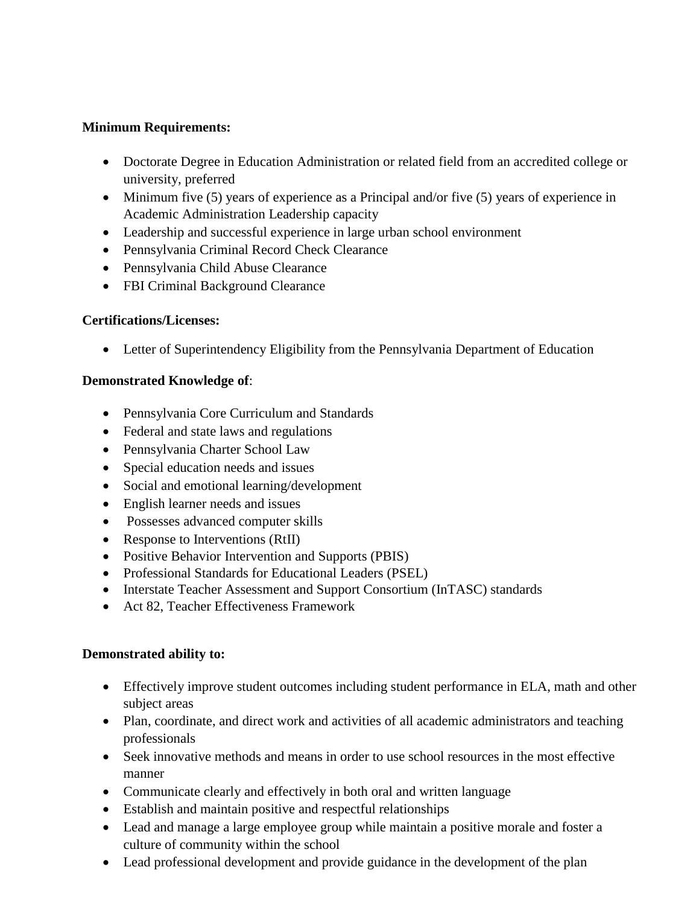### **Minimum Requirements:**

- Doctorate Degree in Education Administration or related field from an accredited college or university, preferred
- Minimum five (5) years of experience as a Principal and/or five (5) years of experience in Academic Administration Leadership capacity
- Leadership and successful experience in large urban school environment
- Pennsylvania Criminal Record Check Clearance
- Pennsylvania Child Abuse Clearance
- FBI Criminal Background Clearance

# **Certifications/Licenses:**

Letter of Superintendency Eligibility from the Pennsylvania Department of Education

### **Demonstrated Knowledge of**:

- Pennsylvania Core Curriculum and Standards
- Federal and state laws and regulations
- Pennsylvania Charter School Law
- Special education needs and issues
- Social and emotional learning/development
- English learner needs and issues
- Possesses advanced computer skills
- Response to Interventions (RtII)
- Positive Behavior Intervention and Supports (PBIS)
- Professional Standards for Educational Leaders (PSEL)
- Interstate Teacher Assessment and Support Consortium (InTASC) standards
- Act 82, Teacher Effectiveness Framework

# **Demonstrated ability to:**

- Effectively improve student outcomes including student performance in ELA, math and other subject areas
- Plan, coordinate, and direct work and activities of all academic administrators and teaching professionals
- Seek innovative methods and means in order to use school resources in the most effective manner
- Communicate clearly and effectively in both oral and written language
- Establish and maintain positive and respectful relationships
- Lead and manage a large employee group while maintain a positive morale and foster a culture of community within the school
- Lead professional development and provide guidance in the development of the plan